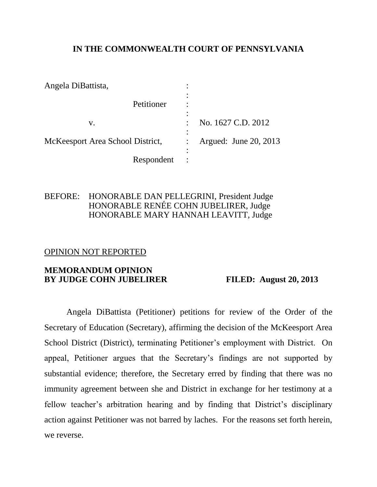### **IN THE COMMONWEALTH COURT OF PENNSYLVANIA**

| Angela DiBattista,               |                       |
|----------------------------------|-----------------------|
| Petitioner                       |                       |
| V.                               | No. 1627 C.D. 2012    |
| McKeesport Area School District, | Argued: June 20, 2013 |
| Respondent                       |                       |

### BEFORE: HONORABLE DAN PELLEGRINI, President Judge HONORABLE RENÉE COHN JUBELIRER, Judge HONORABLE MARY HANNAH LEAVITT, Judge

### OPINION NOT REPORTED

### **MEMORANDUM OPINION BY JUDGE COHN JUBELIRER FILED: August 20, 2013**

Angela DiBattista (Petitioner) petitions for review of the Order of the Secretary of Education (Secretary), affirming the decision of the McKeesport Area School District (District), terminating Petitioner's employment with District. On appeal, Petitioner argues that the Secretary's findings are not supported by substantial evidence; therefore, the Secretary erred by finding that there was no immunity agreement between she and District in exchange for her testimony at a fellow teacher's arbitration hearing and by finding that District's disciplinary action against Petitioner was not barred by laches. For the reasons set forth herein, we reverse.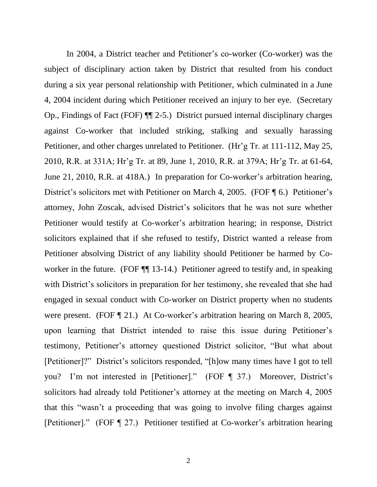In 2004, a District teacher and Petitioner's co-worker (Co-worker) was the subject of disciplinary action taken by District that resulted from his conduct during a six year personal relationship with Petitioner, which culminated in a June 4, 2004 incident during which Petitioner received an injury to her eye. (Secretary Op., Findings of Fact (FOF) ¶¶ 2-5.) District pursued internal disciplinary charges against Co-worker that included striking, stalking and sexually harassing Petitioner, and other charges unrelated to Petitioner. (Hr'g Tr. at 111-112, May 25, 2010, R.R. at 331A; Hr'g Tr. at 89, June 1, 2010, R.R. at 379A; Hr'g Tr. at 61-64, June 21, 2010, R.R. at 418A.) In preparation for Co-worker's arbitration hearing, District's solicitors met with Petitioner on March 4, 2005. (FOF ¶ 6.) Petitioner's attorney, John Zoscak, advised District's solicitors that he was not sure whether Petitioner would testify at Co-worker's arbitration hearing; in response, District solicitors explained that if she refused to testify, District wanted a release from Petitioner absolving District of any liability should Petitioner be harmed by Coworker in the future. (FOF  $\P$  13-14.) Petitioner agreed to testify and, in speaking with District's solicitors in preparation for her testimony, she revealed that she had engaged in sexual conduct with Co-worker on District property when no students were present. (FOF ¶ 21.) At Co-worker's arbitration hearing on March 8, 2005, upon learning that District intended to raise this issue during Petitioner's testimony, Petitioner's attorney questioned District solicitor, "But what about [Petitioner]?" District's solicitors responded, "[h]ow many times have I got to tell you? I'm not interested in [Petitioner]." (FOF ¶ 37.) Moreover, District's solicitors had already told Petitioner's attorney at the meeting on March 4, 2005 that this "wasn't a proceeding that was going to involve filing charges against [Petitioner]." (FOF ¶ 27.) Petitioner testified at Co-worker's arbitration hearing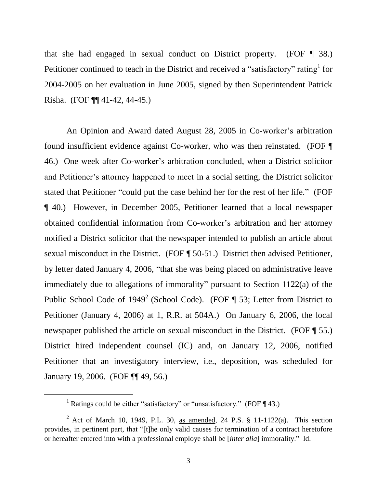that she had engaged in sexual conduct on District property. (FOF ¶ 38.) Petitioner continued to teach in the District and received a "satisfactory" rating  $1$  for 2004-2005 on her evaluation in June 2005, signed by then Superintendent Patrick Risha. (FOF ¶¶ 41-42, 44-45.)

An Opinion and Award dated August 28, 2005 in Co-worker's arbitration found insufficient evidence against Co-worker, who was then reinstated. (FOF ¶ 46.) One week after Co-worker's arbitration concluded, when a District solicitor and Petitioner's attorney happened to meet in a social setting, the District solicitor stated that Petitioner "could put the case behind her for the rest of her life." (FOF ¶ 40.) However, in December 2005, Petitioner learned that a local newspaper obtained confidential information from Co-worker's arbitration and her attorney notified a District solicitor that the newspaper intended to publish an article about sexual misconduct in the District. (FOF ¶ 50-51.) District then advised Petitioner, by letter dated January 4, 2006, "that she was being placed on administrative leave immediately due to allegations of immorality" pursuant to Section 1122(a) of the Public School Code of  $1949^2$  (School Code). (FOF ¶ 53; Letter from District to Petitioner (January 4, 2006) at 1, R.R. at 504A.) On January 6, 2006, the local newspaper published the article on sexual misconduct in the District. (FOF ¶ 55.) District hired independent counsel (IC) and, on January 12, 2006, notified Petitioner that an investigatory interview, i.e., deposition, was scheduled for January 19, 2006. (FOF ¶¶ 49, 56.)

<sup>&</sup>lt;sup>1</sup> Ratings could be either "satisfactory" or "unsatisfactory." (FOF  $\P$  43.)

<sup>&</sup>lt;sup>2</sup> Act of March 10, 1949, P.L. 30, as amended, 24 P.S.  $\S$  11-1122(a). This section provides, in pertinent part, that "[t]he only valid causes for termination of a contract heretofore or hereafter entered into with a professional employe shall be [*inter alia*] immorality." Id.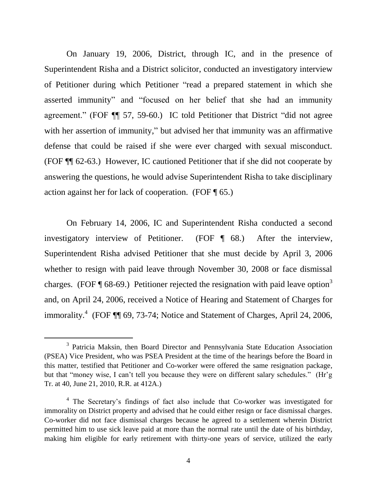On January 19, 2006, District, through IC, and in the presence of Superintendent Risha and a District solicitor, conducted an investigatory interview of Petitioner during which Petitioner "read a prepared statement in which she asserted immunity" and "focused on her belief that she had an immunity agreement." (FOF ¶¶ 57, 59-60.) IC told Petitioner that District "did not agree with her assertion of immunity," but advised her that immunity was an affirmative defense that could be raised if she were ever charged with sexual misconduct. (FOF ¶¶ 62-63.) However, IC cautioned Petitioner that if she did not cooperate by answering the questions, he would advise Superintendent Risha to take disciplinary action against her for lack of cooperation. (FOF ¶ 65.)

On February 14, 2006, IC and Superintendent Risha conducted a second investigatory interview of Petitioner. (FOF ¶ 68.) After the interview, Superintendent Risha advised Petitioner that she must decide by April 3, 2006 whether to resign with paid leave through November 30, 2008 or face dismissal charges. (FOF  $\P$  68-69.) Petitioner rejected the resignation with paid leave option<sup>3</sup> and, on April 24, 2006, received a Notice of Hearing and Statement of Charges for immorality.<sup>4</sup> (FOF ¶¶ 69, 73-74; Notice and Statement of Charges, April 24, 2006,

<sup>&</sup>lt;sup>3</sup> Patricia Maksin, then Board Director and Pennsylvania State Education Association (PSEA) Vice President, who was PSEA President at the time of the hearings before the Board in this matter, testified that Petitioner and Co-worker were offered the same resignation package, but that "money wise, I can't tell you because they were on different salary schedules." (Hr'g Tr. at 40, June 21, 2010, R.R. at 412A.)

<sup>&</sup>lt;sup>4</sup> The Secretary's findings of fact also include that Co-worker was investigated for immorality on District property and advised that he could either resign or face dismissal charges. Co-worker did not face dismissal charges because he agreed to a settlement wherein District permitted him to use sick leave paid at more than the normal rate until the date of his birthday, making him eligible for early retirement with thirty-one years of service, utilized the early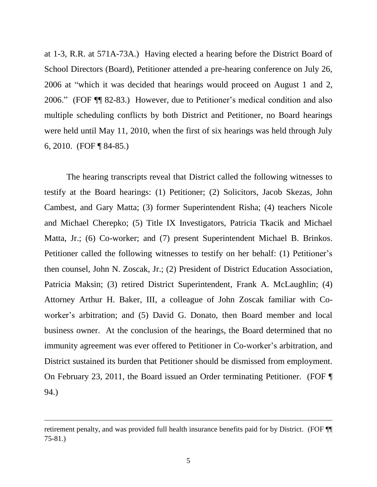at 1-3, R.R. at 571A-73A.) Having elected a hearing before the District Board of School Directors (Board), Petitioner attended a pre-hearing conference on July 26, 2006 at "which it was decided that hearings would proceed on August 1 and 2, 2006." (FOF ¶¶ 82-83.) However, due to Petitioner's medical condition and also multiple scheduling conflicts by both District and Petitioner, no Board hearings were held until May 11, 2010, when the first of six hearings was held through July 6, 2010. (FOF ¶ 84-85.)

The hearing transcripts reveal that District called the following witnesses to testify at the Board hearings: (1) Petitioner; (2) Solicitors, Jacob Skezas, John Cambest, and Gary Matta; (3) former Superintendent Risha; (4) teachers Nicole and Michael Cherepko; (5) Title IX Investigators, Patricia Tkacik and Michael Matta, Jr.; (6) Co-worker; and (7) present Superintendent Michael B. Brinkos. Petitioner called the following witnesses to testify on her behalf: (1) Petitioner's then counsel, John N. Zoscak, Jr.; (2) President of District Education Association, Patricia Maksin; (3) retired District Superintendent, Frank A. McLaughlin; (4) Attorney Arthur H. Baker, III, a colleague of John Zoscak familiar with Coworker's arbitration; and (5) David G. Donato, then Board member and local business owner. At the conclusion of the hearings, the Board determined that no immunity agreement was ever offered to Petitioner in Co-worker's arbitration, and District sustained its burden that Petitioner should be dismissed from employment. On February 23, 2011, the Board issued an Order terminating Petitioner. (FOF ¶ 94.)

retirement penalty, and was provided full health insurance benefits paid for by District. (FOF ¶¶ 75-81.)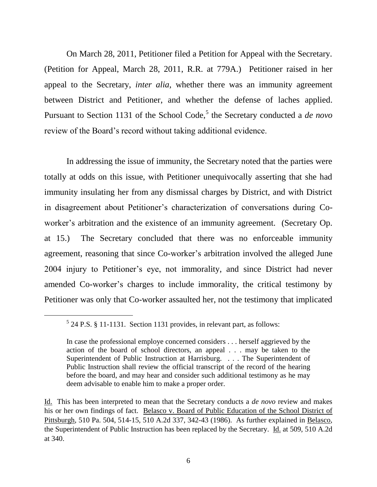On March 28, 2011, Petitioner filed a Petition for Appeal with the Secretary. (Petition for Appeal, March 28, 2011, R.R. at 779A.) Petitioner raised in her appeal to the Secretary, *inter alia*, whether there was an immunity agreement between District and Petitioner, and whether the defense of laches applied. Pursuant to Section 1131 of the School Code,<sup>5</sup> the Secretary conducted a *de novo* review of the Board's record without taking additional evidence.

In addressing the issue of immunity, the Secretary noted that the parties were totally at odds on this issue, with Petitioner unequivocally asserting that she had immunity insulating her from any dismissal charges by District, and with District in disagreement about Petitioner's characterization of conversations during Coworker's arbitration and the existence of an immunity agreement. (Secretary Op. at 15.) The Secretary concluded that there was no enforceable immunity agreement, reasoning that since Co-worker's arbitration involved the alleged June 2004 injury to Petitioner's eye, not immorality, and since District had never amended Co-worker's charges to include immorality, the critical testimony by Petitioner was only that Co-worker assaulted her, not the testimony that implicated

l

 $5$  24 P.S. § 11-1131. Section 1131 provides, in relevant part, as follows:

In case the professional employe concerned considers . . . herself aggrieved by the action of the board of school directors, an appeal . . . may be taken to the Superintendent of Public Instruction at Harrisburg. . . . The Superintendent of Public Instruction shall review the official transcript of the record of the hearing before the board, and may hear and consider such additional testimony as he may deem advisable to enable him to make a proper order.

Id. This has been interpreted to mean that the Secretary conducts a *de novo* review and makes his or her own findings of fact. Belasco v. Board of Public Education of the School District of Pittsburgh, 510 Pa. 504, 514-15, 510 A.2d 337, 342-43 (1986). As further explained in Belasco, the Superintendent of Public Instruction has been replaced by the Secretary. Id. at 509, 510 A.2d at 340.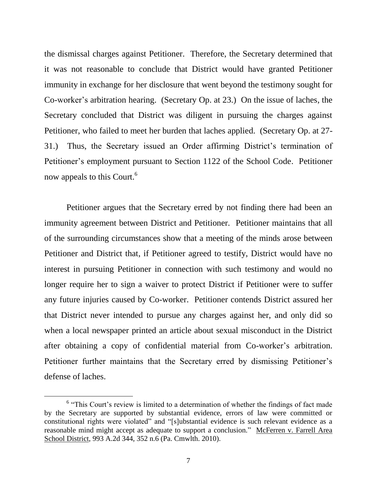the dismissal charges against Petitioner. Therefore, the Secretary determined that it was not reasonable to conclude that District would have granted Petitioner immunity in exchange for her disclosure that went beyond the testimony sought for Co-worker's arbitration hearing. (Secretary Op. at 23.) On the issue of laches, the Secretary concluded that District was diligent in pursuing the charges against Petitioner, who failed to meet her burden that laches applied. (Secretary Op. at 27- 31.) Thus, the Secretary issued an Order affirming District's termination of Petitioner's employment pursuant to Section 1122 of the School Code. Petitioner now appeals to this Court.<sup>6</sup>

Petitioner argues that the Secretary erred by not finding there had been an immunity agreement between District and Petitioner. Petitioner maintains that all of the surrounding circumstances show that a meeting of the minds arose between Petitioner and District that, if Petitioner agreed to testify, District would have no interest in pursuing Petitioner in connection with such testimony and would no longer require her to sign a waiver to protect District if Petitioner were to suffer any future injuries caused by Co-worker. Petitioner contends District assured her that District never intended to pursue any charges against her, and only did so when a local newspaper printed an article about sexual misconduct in the District after obtaining a copy of confidential material from Co-worker's arbitration. Petitioner further maintains that the Secretary erred by dismissing Petitioner's defense of laches.

<sup>&</sup>lt;sup>6</sup> "This Court's review is limited to a determination of whether the findings of fact made by the Secretary are supported by substantial evidence, errors of law were committed or constitutional rights were violated" and "[s]ubstantial evidence is such relevant evidence as a reasonable mind might accept as adequate to support a conclusion." McFerren v. Farrell Area School District, 993 A.2d 344, 352 n.6 (Pa. Cmwlth. 2010).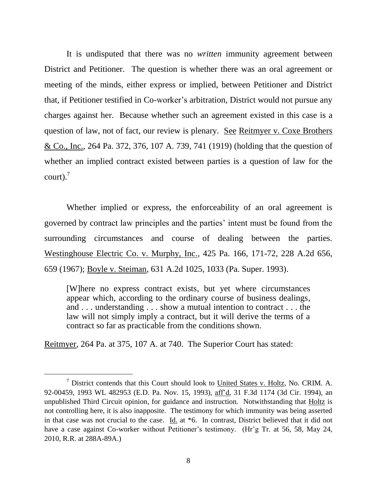It is undisputed that there was no *written* immunity agreement between District and Petitioner. The question is whether there was an oral agreement or meeting of the minds, either express or implied, between Petitioner and District that, if Petitioner testified in Co-worker's arbitration, District would not pursue any charges against her. Because whether such an agreement existed in this case is a question of law, not of fact, our review is plenary. See Reitmyer v. Coxe Brothers & Co., Inc., 264 Pa. 372, 376, 107 A. 739, 741 (1919) (holding that the question of whether an implied contract existed between parties is a question of law for the court). $^7$ 

Whether implied or express, the enforceability of an oral agreement is governed by contract law principles and the parties' intent must be found from the surrounding circumstances and course of dealing between the parties. Westinghouse Electric Co. v. Murphy, Inc., 425 Pa. 166, 171-72, 228 A.2d 656, 659 (1967); Boyle v. Steiman, 631 A.2d 1025, 1033 (Pa. Super. 1993).

[W]here no express contract exists, but yet where circumstances appear which, according to the ordinary course of business dealings, and . . . understanding . . . show a mutual intention to contract . . . the law will not simply imply a contract, but it will derive the terms of a contract so far as practicable from the conditions shown.

Reitmyer, 264 Pa. at 375, 107 A. at 740. The Superior Court has stated:

<sup>7</sup> District contends that this Court should look to United States v. Holtz, No. CRIM. A. 92-00459, 1993 WL 482953 (E.D. Pa. Nov. 15, 1993), aff'd, 31 F.3d 1174 (3d Cir. 1994), an unpublished Third Circuit opinion, for guidance and instruction. Notwithstanding that Holtz is not controlling here, it is also inapposite. The testimony for which immunity was being asserted in that case was not crucial to the case. Id. at \*6. In contrast, District believed that it did not have a case against Co-worker without Petitioner's testimony. (Hr'g Tr. at 56, 58, May 24, 2010, R.R. at 288A-89A.)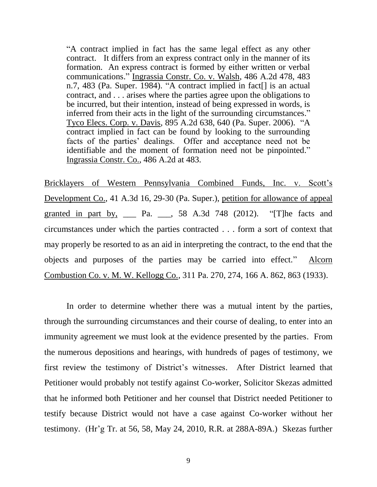"A contract implied in fact has the same legal effect as any other contract. It differs from an express contract only in the manner of its formation. An express contract is formed by either written or verbal communications." Ingrassia Constr. Co. v. Walsh, 486 A.2d 478, 483 n.7, 483 (Pa. Super. 1984). "A contract implied in fact[] is an actual contract, and . . . arises where the parties agree upon the obligations to be incurred, but their intention, instead of being expressed in words, is inferred from their acts in the light of the surrounding circumstances." Tyco Elecs. Corp. v. Davis, 895 A.2d 638, 640 (Pa. Super. 2006). "A contract implied in fact can be found by looking to the surrounding facts of the parties' dealings. Offer and acceptance need not be identifiable and the moment of formation need not be pinpointed." Ingrassia Constr. Co., 486 A.2d at 483.

Bricklayers of Western Pennsylvania Combined Funds, Inc. v. Scott's Development Co., 41 A.3d 16, 29-30 (Pa. Super.), petition for allowance of appeal granted in part by, \_\_\_ Pa. \_\_, 58 A.3d 748 (2012). "[T]he facts and circumstances under which the parties contracted . . . form a sort of context that may properly be resorted to as an aid in interpreting the contract, to the end that the objects and purposes of the parties may be carried into effect." Alcorn Combustion Co. v. M. W. Kellogg Co., 311 Pa. 270, 274, 166 A. 862, 863 (1933).

In order to determine whether there was a mutual intent by the parties, through the surrounding circumstances and their course of dealing, to enter into an immunity agreement we must look at the evidence presented by the parties. From the numerous depositions and hearings, with hundreds of pages of testimony, we first review the testimony of District's witnesses. After District learned that Petitioner would probably not testify against Co-worker, Solicitor Skezas admitted that he informed both Petitioner and her counsel that District needed Petitioner to testify because District would not have a case against Co-worker without her testimony. (Hr'g Tr. at 56, 58, May 24, 2010, R.R. at 288A-89A.) Skezas further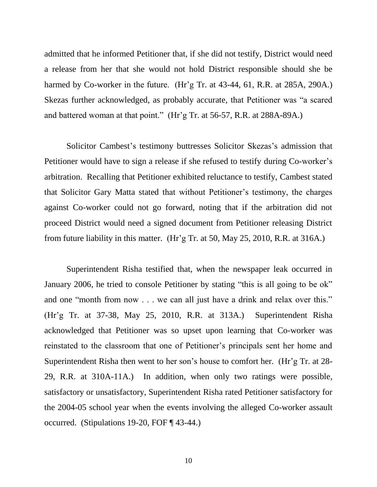admitted that he informed Petitioner that, if she did not testify, District would need a release from her that she would not hold District responsible should she be harmed by Co-worker in the future. (Hr'g Tr. at 43-44, 61, R.R. at 285A, 290A.) Skezas further acknowledged, as probably accurate, that Petitioner was "a scared and battered woman at that point." (Hr'g Tr. at 56-57, R.R. at 288A-89A.)

Solicitor Cambest's testimony buttresses Solicitor Skezas's admission that Petitioner would have to sign a release if she refused to testify during Co-worker's arbitration. Recalling that Petitioner exhibited reluctance to testify, Cambest stated that Solicitor Gary Matta stated that without Petitioner's testimony, the charges against Co-worker could not go forward, noting that if the arbitration did not proceed District would need a signed document from Petitioner releasing District from future liability in this matter. (Hr'g Tr. at 50, May 25, 2010, R.R. at 316A.)

Superintendent Risha testified that, when the newspaper leak occurred in January 2006, he tried to console Petitioner by stating "this is all going to be ok" and one "month from now . . . we can all just have a drink and relax over this." (Hr'g Tr. at 37-38, May 25, 2010, R.R. at 313A.) Superintendent Risha acknowledged that Petitioner was so upset upon learning that Co-worker was reinstated to the classroom that one of Petitioner's principals sent her home and Superintendent Risha then went to her son's house to comfort her. (Hr'g Tr. at 28- 29, R.R. at 310A-11A.) In addition, when only two ratings were possible, satisfactory or unsatisfactory, Superintendent Risha rated Petitioner satisfactory for the 2004-05 school year when the events involving the alleged Co-worker assault occurred. (Stipulations 19-20, FOF ¶ 43-44.)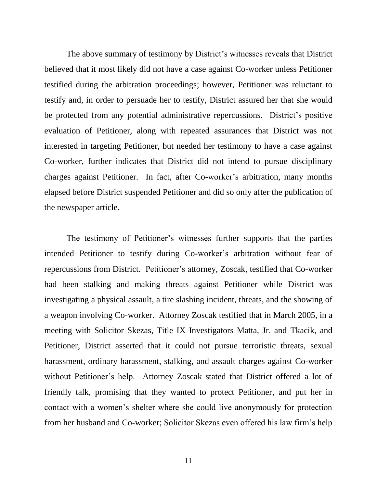The above summary of testimony by District's witnesses reveals that District believed that it most likely did not have a case against Co-worker unless Petitioner testified during the arbitration proceedings; however, Petitioner was reluctant to testify and, in order to persuade her to testify, District assured her that she would be protected from any potential administrative repercussions. District's positive evaluation of Petitioner, along with repeated assurances that District was not interested in targeting Petitioner, but needed her testimony to have a case against Co-worker, further indicates that District did not intend to pursue disciplinary charges against Petitioner. In fact, after Co-worker's arbitration, many months elapsed before District suspended Petitioner and did so only after the publication of the newspaper article.

The testimony of Petitioner's witnesses further supports that the parties intended Petitioner to testify during Co-worker's arbitration without fear of repercussions from District. Petitioner's attorney, Zoscak, testified that Co-worker had been stalking and making threats against Petitioner while District was investigating a physical assault, a tire slashing incident, threats, and the showing of a weapon involving Co-worker. Attorney Zoscak testified that in March 2005, in a meeting with Solicitor Skezas, Title IX Investigators Matta, Jr. and Tkacik, and Petitioner, District asserted that it could not pursue terroristic threats, sexual harassment, ordinary harassment, stalking, and assault charges against Co-worker without Petitioner's help. Attorney Zoscak stated that District offered a lot of friendly talk, promising that they wanted to protect Petitioner, and put her in contact with a women's shelter where she could live anonymously for protection from her husband and Co-worker; Solicitor Skezas even offered his law firm's help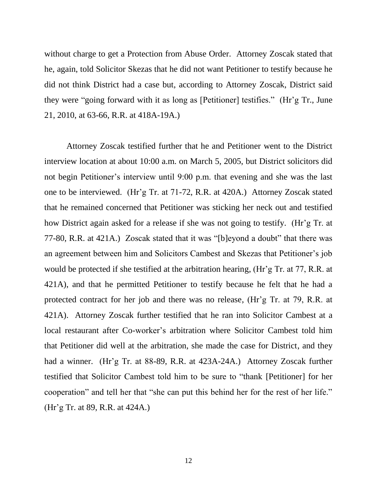without charge to get a Protection from Abuse Order. Attorney Zoscak stated that he, again, told Solicitor Skezas that he did not want Petitioner to testify because he did not think District had a case but, according to Attorney Zoscak, District said they were "going forward with it as long as [Petitioner] testifies." (Hr'g Tr., June 21, 2010, at 63-66, R.R. at 418A-19A.)

Attorney Zoscak testified further that he and Petitioner went to the District interview location at about 10:00 a.m. on March 5, 2005, but District solicitors did not begin Petitioner's interview until 9:00 p.m. that evening and she was the last one to be interviewed. (Hr'g Tr. at 71-72, R.R. at 420A.) Attorney Zoscak stated that he remained concerned that Petitioner was sticking her neck out and testified how District again asked for a release if she was not going to testify. (Hr'g Tr. at 77-80, R.R. at 421A.) Zoscak stated that it was "[b]eyond a doubt" that there was an agreement between him and Solicitors Cambest and Skezas that Petitioner's job would be protected if she testified at the arbitration hearing, (Hr'g Tr. at 77, R.R. at 421A), and that he permitted Petitioner to testify because he felt that he had a protected contract for her job and there was no release, (Hr'g Tr. at 79, R.R. at 421A). Attorney Zoscak further testified that he ran into Solicitor Cambest at a local restaurant after Co-worker's arbitration where Solicitor Cambest told him that Petitioner did well at the arbitration, she made the case for District, and they had a winner. (Hr'g Tr. at 88-89, R.R. at 423A-24A.) Attorney Zoscak further testified that Solicitor Cambest told him to be sure to "thank [Petitioner] for her cooperation" and tell her that "she can put this behind her for the rest of her life." (Hr'g Tr. at 89, R.R. at 424A.)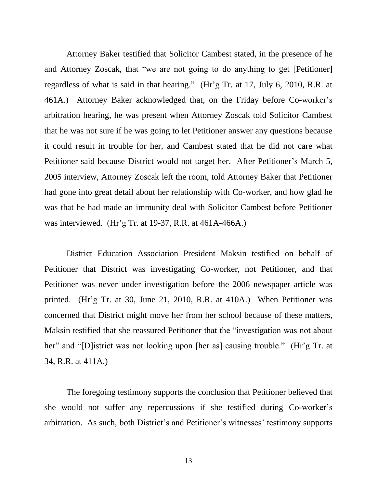Attorney Baker testified that Solicitor Cambest stated, in the presence of he and Attorney Zoscak, that "we are not going to do anything to get [Petitioner] regardless of what is said in that hearing." (Hr'g Tr. at 17, July 6, 2010, R.R. at 461A.) Attorney Baker acknowledged that, on the Friday before Co-worker's arbitration hearing, he was present when Attorney Zoscak told Solicitor Cambest that he was not sure if he was going to let Petitioner answer any questions because it could result in trouble for her, and Cambest stated that he did not care what Petitioner said because District would not target her. After Petitioner's March 5, 2005 interview, Attorney Zoscak left the room, told Attorney Baker that Petitioner had gone into great detail about her relationship with Co-worker, and how glad he was that he had made an immunity deal with Solicitor Cambest before Petitioner was interviewed. (Hr'g Tr. at 19-37, R.R. at 461A-466A.)

District Education Association President Maksin testified on behalf of Petitioner that District was investigating Co-worker, not Petitioner, and that Petitioner was never under investigation before the 2006 newspaper article was printed. (Hr'g Tr. at 30, June 21, 2010, R.R. at 410A.) When Petitioner was concerned that District might move her from her school because of these matters, Maksin testified that she reassured Petitioner that the "investigation was not about her" and "[D]istrict was not looking upon [her as] causing trouble." (Hr'g Tr. at 34, R.R. at 411A.)

The foregoing testimony supports the conclusion that Petitioner believed that she would not suffer any repercussions if she testified during Co-worker's arbitration. As such, both District's and Petitioner's witnesses' testimony supports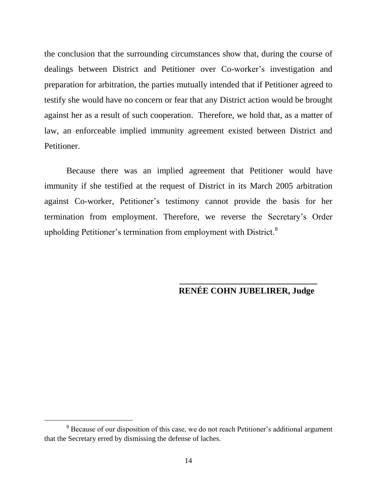the conclusion that the surrounding circumstances show that, during the course of dealings between District and Petitioner over Co-worker's investigation and preparation for arbitration, the parties mutually intended that if Petitioner agreed to testify she would have no concern or fear that any District action would be brought against her as a result of such cooperation. Therefore, we hold that, as a matter of law, an enforceable implied immunity agreement existed between District and Petitioner.

Because there was an implied agreement that Petitioner would have immunity if she testified at the request of District in its March 2005 arbitration against Co-worker, Petitioner's testimony cannot provide the basis for her termination from employment. Therefore, we reverse the Secretary's Order upholding Petitioner's termination from employment with District.<sup>8</sup>

### **\_\_\_\_\_\_\_\_\_\_\_\_\_\_\_\_\_\_\_\_\_\_\_\_\_\_\_\_\_\_\_\_ RENÉE COHN JUBELIRER, Judge**

<sup>&</sup>lt;sup>8</sup> Because of our disposition of this case, we do not reach Petitioner's additional argument that the Secretary erred by dismissing the defense of laches.